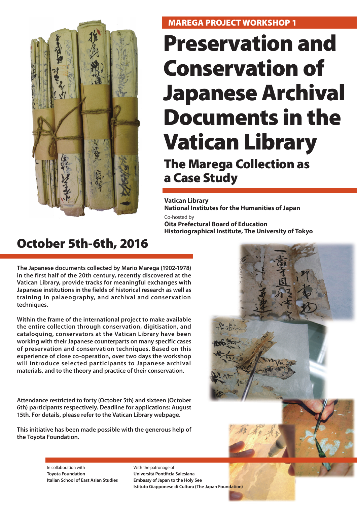

# **MAREGA PROJECT WORKSHOP 1**

# **Preservation and Conservation of Japanese Archival Documents in the Vatican Library**

**The Marega Collection as a Case Study**

**Vatican Library** 

**National Institutes for the Humanities of Japan** Co-hosted by

**Ōita Prefectural Board of Education Historiographical Institute, The University of Tokyo**

# **October 5th-6th, 2016**

**The Japanese documents collected by Mario Marega (1902-1978) in the first half of the 20th century, recently discovered at the Vatican Library, provide tracks for meaningful exchanges with Japanese institutions in the fields of historical research as well as training in palaeography, and archival and conservation techniques.**

**Within the frame of the international project to make available the entire collection through conservation, digitisation, and cataloguing, conservators at the Vatican Library have been working with their Japanese counterparts on many specific cases of preservation and conservation techniques. Based on this experience of close co-operation, over two days the workshop will introduce selected participants to Japanese archival materials, and to the theory and practice of their conservation.** 

**Attendance restricted to forty (October 5th) and sixteen (October 6th) participants respectively. Deadline for applications: August 15th. For details, please refer to the Vatican Library webpage.**

**This initiative has been made possible with the generous help of the Toyota Foundation.**



In collaboration with **Toyota Foundation Italian School of East Asian Studies** With the patronage of **Università Pontificia Salesiana Embassy of Japan to the Holy See Istituto Giapponese di Cultura (The Japan Foundation)**